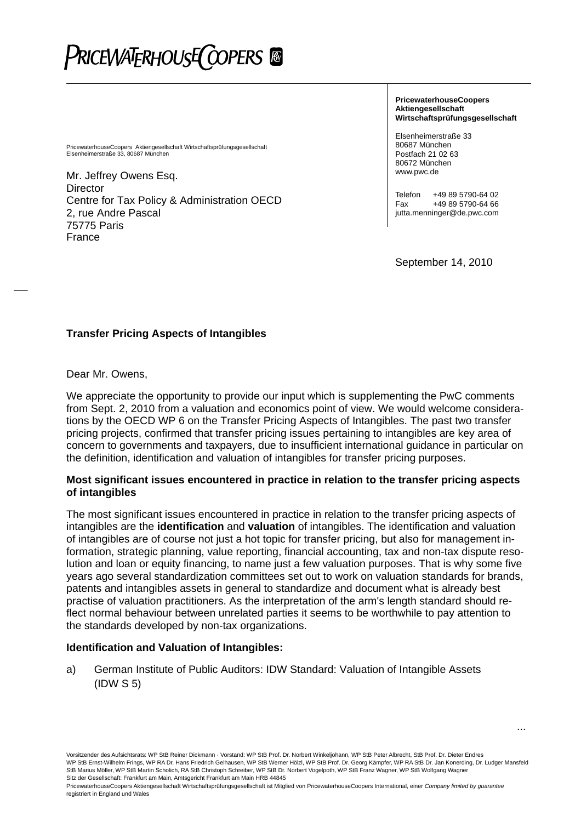# PriceWATERHOUSE(COPERS ®

PricewaterhouseCoopers Aktiengesellschaft Wirtschaftsprüfungsgesellschaft Elsenheimerstraße 33, 80687 München

Mr. Jeffrey Owens Esq. **Director** Centre for Tax Policy & Administration OECD 2, rue Andre Pascal 75775 Paris France

**PricewaterhouseCoopers Aktiengesellschaft Wirtschaftsprüfungsgesellschaft** 

Elsenheimerstraße 33 80687 München Postfach 21 02 63 80672 München www.pwc.de

Telefon +49 89 5790-64 02 Fax +49 89 5790-64 66 jutta.menninger@de.pwc.com

September 14, 2010

...

### **Transfer Pricing Aspects of Intangibles**

Dear Mr. Owens,

We appreciate the opportunity to provide our input which is supplementing the PwC comments from Sept. 2, 2010 from a valuation and economics point of view. We would welcome considerations by the OECD WP 6 on the Transfer Pricing Aspects of Intangibles. The past two transfer pricing projects, confirmed that transfer pricing issues pertaining to intangibles are key area of concern to governments and taxpayers, due to insufficient international guidance in particular on the definition, identification and valuation of intangibles for transfer pricing purposes.

#### **Most significant issues encountered in practice in relation to the transfer pricing aspects of intangibles**

The most significant issues encountered in practice in relation to the transfer pricing aspects of intangibles are the **identification** and **valuation** of intangibles. The identification and valuation of intangibles are of course not just a hot topic for transfer pricing, but also for management information, strategic planning, value reporting, financial accounting, tax and non-tax dispute resolution and loan or equity financing, to name just a few valuation purposes. That is why some five years ago several standardization committees set out to work on valuation standards for brands, patents and intangibles assets in general to standardize and document what is already best practise of valuation practitioners. As the interpretation of the arm's length standard should reflect normal behaviour between unrelated parties it seems to be worthwhile to pay attention to the standards developed by non-tax organizations.

### **Identification and Valuation of Intangibles:**

a) German Institute of Public Auditors: IDW Standard: Valuation of Intangible Assets (IDW S 5)

Vorsitzender des Aufsichtsrats: WP StB Reiner Dickmann · Vorstand: WP StB Prof. Dr. Norbert Winkeljohann, WP StB Peter Albrecht, StB Prof. Dr. Dieter Endres WP StB Ernst-Wilhelm Frings, WP RA Dr. Hans Friedrich Gelhausen, WP StB Werner Hölzl, WP StB Prof. Dr. Georg Kämpfer, WP RA StB Dr. Jan Konerding, Dr. Ludger Mansfeld StB Marius Möller, WP StB Martin Scholich, RA StB Christoph Schreiber, WP StB Dr. Norbert Vogelpoth, WP StB Franz Wagner, WP StB Wolfgang Wagner Sitz der Gesellschaft: Frankfurt am Main, Amtsgericht Frankfurt am Main HRB 44845

PricewaterhouseCoopers Aktiengesellschaft Wirtschaftsprüfungsgesellschaft ist Mitglied von PricewaterhouseCoopers International, einer *Company limited by guarantee* registriert in England und Wales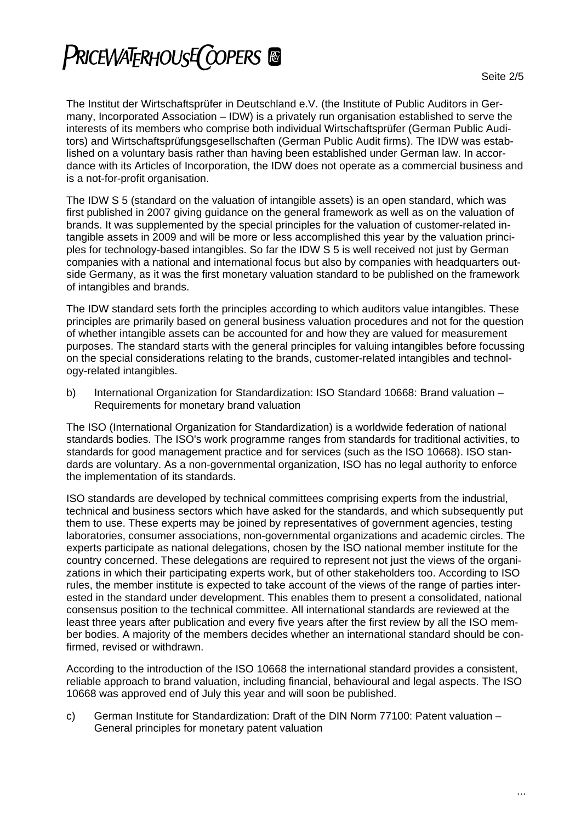The Institut der Wirtschaftsprüfer in Deutschland e.V. (the Institute of Public Auditors in Germany, Incorporated Association – IDW) is a privately run organisation established to serve the interests of its members who comprise both individual Wirtschaftsprüfer (German Public Auditors) and Wirtschaftsprüfungsgesellschaften (German Public Audit firms). The IDW was established on a voluntary basis rather than having been established under German law. In accordance with its Articles of Incorporation, the IDW does not operate as a commercial business and is a not-for-profit organisation.

The IDW S 5 (standard on the valuation of intangible assets) is an open standard, which was first published in 2007 giving guidance on the general framework as well as on the valuation of brands. It was supplemented by the special principles for the valuation of customer-related intangible assets in 2009 and will be more or less accomplished this year by the valuation principles for technology-based intangibles. So far the IDW S 5 is well received not just by German companies with a national and international focus but also by companies with headquarters outside Germany, as it was the first monetary valuation standard to be published on the framework of intangibles and brands.

The IDW standard sets forth the principles according to which auditors value intangibles. These principles are primarily based on general business valuation procedures and not for the question of whether intangible assets can be accounted for and how they are valued for measurement purposes. The standard starts with the general principles for valuing intangibles before focussing on the special considerations relating to the brands, customer-related intangibles and technology-related intangibles.

b) International Organization for Standardization: ISO Standard 10668: Brand valuation – Requirements for monetary brand valuation

The ISO (International Organization for Standardization) is a worldwide federation of national standards bodies. The ISO's work programme ranges from standards for traditional activities, to standards for good management practice and for services (such as the ISO 10668). ISO standards are voluntary. As a non-governmental organization, ISO has no legal authority to enforce the implementation of its standards.

ISO standards are developed by technical committees comprising experts from the industrial, technical and business sectors which have asked for the standards, and which subsequently put them to use. These experts may be joined by representatives of government agencies, testing laboratories, consumer associations, non-governmental organizations and academic circles. The experts participate as national delegations, chosen by the ISO national member institute for the country concerned. These delegations are required to represent not just the views of the organizations in which their participating experts work, but of other stakeholders too. According to ISO rules, the member institute is expected to take account of the views of the range of parties interested in the standard under development. This enables them to present a consolidated, national consensus position to the technical committee. All international standards are reviewed at the least three years after publication and every five years after the first review by all the ISO member bodies. A majority of the members decides whether an international standard should be confirmed, revised or withdrawn.

According to the introduction of the ISO 10668 the international standard provides a consistent, reliable approach to brand valuation, including financial, behavioural and legal aspects. The ISO 10668 was approved end of July this year and will soon be published.

c) German Institute for Standardization: Draft of the DIN Norm 77100: Patent valuation – General principles for monetary patent valuation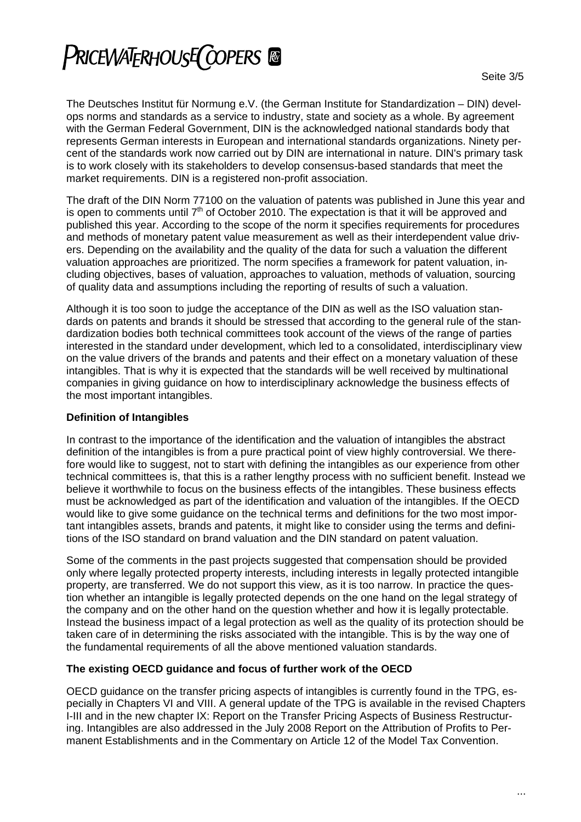## **PRICEWATERHOUSE COPERS &**

The Deutsches Institut für Normung e.V. (the German Institute for Standardization – DIN) develops norms and standards as a service to industry, state and society as a whole. By agreement with the German Federal Government, DIN is the acknowledged national standards body that represents German interests in European and international standards organizations. Ninety percent of the standards work now carried out by DIN are international in nature. DIN's primary task is to work closely with its stakeholders to develop consensus-based standards that meet the market requirements. DIN is a registered non-profit association.

The draft of the DIN Norm 77100 on the valuation of patents was published in June this year and is open to comments until  $7<sup>th</sup>$  of October 2010. The expectation is that it will be approved and published this year. According to the scope of the norm it specifies requirements for procedures and methods of monetary patent value measurement as well as their interdependent value drivers. Depending on the availability and the quality of the data for such a valuation the different valuation approaches are prioritized. The norm specifies a framework for patent valuation, including objectives, bases of valuation, approaches to valuation, methods of valuation, sourcing of quality data and assumptions including the reporting of results of such a valuation.

Although it is too soon to judge the acceptance of the DIN as well as the ISO valuation standards on patents and brands it should be stressed that according to the general rule of the standardization bodies both technical committees took account of the views of the range of parties interested in the standard under development, which led to a consolidated, interdisciplinary view on the value drivers of the brands and patents and their effect on a monetary valuation of these intangibles. That is why it is expected that the standards will be well received by multinational companies in giving guidance on how to interdisciplinary acknowledge the business effects of the most important intangibles.

## **Definition of Intangibles**

In contrast to the importance of the identification and the valuation of intangibles the abstract definition of the intangibles is from a pure practical point of view highly controversial. We therefore would like to suggest, not to start with defining the intangibles as our experience from other technical committees is, that this is a rather lengthy process with no sufficient benefit. Instead we believe it worthwhile to focus on the business effects of the intangibles. These business effects must be acknowledged as part of the identification and valuation of the intangibles. If the OECD would like to give some guidance on the technical terms and definitions for the two most important intangibles assets, brands and patents, it might like to consider using the terms and definitions of the ISO standard on brand valuation and the DIN standard on patent valuation.

Some of the comments in the past projects suggested that compensation should be provided only where legally protected property interests, including interests in legally protected intangible property, are transferred. We do not support this view, as it is too narrow. In practice the question whether an intangible is legally protected depends on the one hand on the legal strategy of the company and on the other hand on the question whether and how it is legally protectable. Instead the business impact of a legal protection as well as the quality of its protection should be taken care of in determining the risks associated with the intangible. This is by the way one of the fundamental requirements of all the above mentioned valuation standards.

### **The existing OECD guidance and focus of further work of the OECD**

OECD guidance on the transfer pricing aspects of intangibles is currently found in the TPG, especially in Chapters VI and VIII. A general update of the TPG is available in the revised Chapters I-III and in the new chapter IX: Report on the Transfer Pricing Aspects of Business Restructuring. Intangibles are also addressed in the July 2008 Report on the Attribution of Profits to Permanent Establishments and in the Commentary on Article 12 of the Model Tax Convention.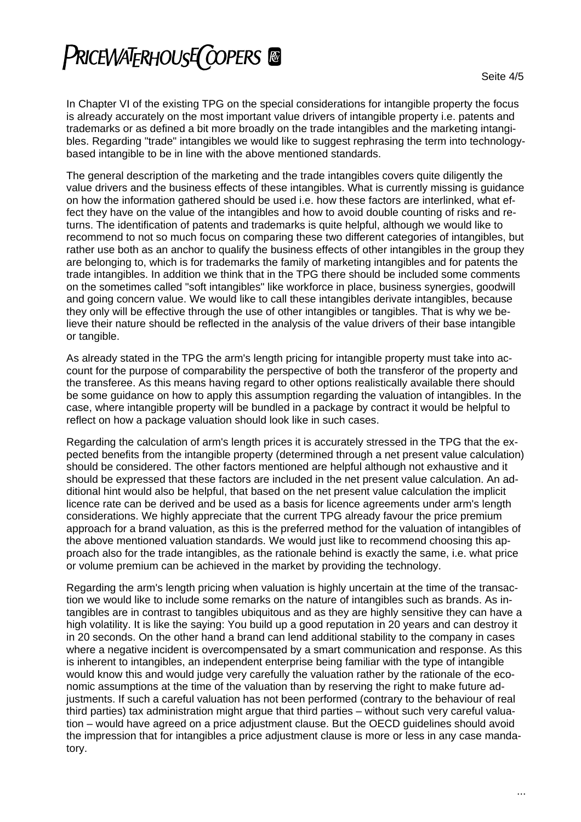## PRICEWATERHOUSE COPERS ®

In Chapter VI of the existing TPG on the special considerations for intangible property the focus is already accurately on the most important value drivers of intangible property i.e. patents and trademarks or as defined a bit more broadly on the trade intangibles and the marketing intangibles. Regarding "trade" intangibles we would like to suggest rephrasing the term into technologybased intangible to be in line with the above mentioned standards.

The general description of the marketing and the trade intangibles covers quite diligently the value drivers and the business effects of these intangibles. What is currently missing is guidance on how the information gathered should be used i.e. how these factors are interlinked, what effect they have on the value of the intangibles and how to avoid double counting of risks and returns. The identification of patents and trademarks is quite helpful, although we would like to recommend to not so much focus on comparing these two different categories of intangibles, but rather use both as an anchor to qualify the business effects of other intangibles in the group they are belonging to, which is for trademarks the family of marketing intangibles and for patents the trade intangibles. In addition we think that in the TPG there should be included some comments on the sometimes called "soft intangibles" like workforce in place, business synergies, goodwill and going concern value. We would like to call these intangibles derivate intangibles, because they only will be effective through the use of other intangibles or tangibles. That is why we believe their nature should be reflected in the analysis of the value drivers of their base intangible or tangible.

As already stated in the TPG the arm's length pricing for intangible property must take into account for the purpose of comparability the perspective of both the transferor of the property and the transferee. As this means having regard to other options realistically available there should be some guidance on how to apply this assumption regarding the valuation of intangibles. In the case, where intangible property will be bundled in a package by contract it would be helpful to reflect on how a package valuation should look like in such cases.

Regarding the calculation of arm's length prices it is accurately stressed in the TPG that the expected benefits from the intangible property (determined through a net present value calculation) should be considered. The other factors mentioned are helpful although not exhaustive and it should be expressed that these factors are included in the net present value calculation. An additional hint would also be helpful, that based on the net present value calculation the implicit licence rate can be derived and be used as a basis for licence agreements under arm's length considerations. We highly appreciate that the current TPG already favour the price premium approach for a brand valuation, as this is the preferred method for the valuation of intangibles of the above mentioned valuation standards. We would just like to recommend choosing this approach also for the trade intangibles, as the rationale behind is exactly the same, i.e. what price or volume premium can be achieved in the market by providing the technology.

Regarding the arm's length pricing when valuation is highly uncertain at the time of the transaction we would like to include some remarks on the nature of intangibles such as brands. As intangibles are in contrast to tangibles ubiquitous and as they are highly sensitive they can have a high volatility. It is like the saying: You build up a good reputation in 20 years and can destroy it in 20 seconds. On the other hand a brand can lend additional stability to the company in cases where a negative incident is overcompensated by a smart communication and response. As this is inherent to intangibles, an independent enterprise being familiar with the type of intangible would know this and would judge very carefully the valuation rather by the rationale of the economic assumptions at the time of the valuation than by reserving the right to make future adjustments. If such a careful valuation has not been performed (contrary to the behaviour of real third parties) tax administration might argue that third parties – without such very careful valuation – would have agreed on a price adjustment clause. But the OECD guidelines should avoid the impression that for intangibles a price adjustment clause is more or less in any case mandatory.